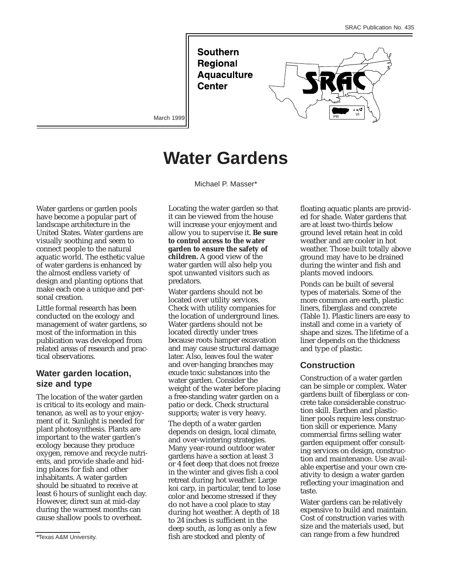**Southern Regional Aquaculture Center** 



March 1999

# **Water Gardens**

Michael P. Masser\*

Water gardens or garden pools have become a popular part of landscape architecture in the United States. Water gardens are visually soothing and seem to connect people to the natural aquatic world. The esthetic value of water gardens is enhanced by the almost endless variety of design and planting options that make each one a unique and personal creation.

Little formal research has been conducted on the ecology and management of water gardens, so most of the information in this publication was developed from related areas of research and practical observations.

# **Water garden location, size and type**

The location of the water garden is critical to its ecology and maintenance, as well as to your enjoyment of it. Sunlight is needed for plant photosynthesis. Plants are important to the water garden's ecology because they produce oxygen, remove and recycle nutrients, and provide shade and hiding places for fish and other inhabitants. A water garden should be situated to receive at least 6 hours of sunlight each day. However, direct sun at mid-day during the warmest months can cause shallow pools to overheat.

Locating the water garden so that it can be viewed from the house will increase your enjoyment and allow you to supervise it. **Be sure to control access to the water garden to ensure the safety of children.** A good view of the water garden will also help you spot unwanted visitors such as predators.

Water gardens should not be located over utility services. Check with utility companies for the location of underground lines. Water gardens should not be located directly under trees because roots hamper excavation and may cause structural damage later. Also, leaves foul the water and over-hanging branches may exude toxic substances into the water garden. Consider the weight of the water before placing a free-standing water garden on a patio or deck. Check structural supports; water is very heavy.

The depth of a water garden depends on design, local climate, and over-wintering strategies. Many year-round outdoor water gardens have a section at least 3 or 4 feet deep that does not freeze in the winter and gives fish a cool retreat during hot weather. Large koi carp, in particular, tend to lose color and become stressed if they do not have a cool place to stay during hot weather. A depth of 18 to 24 inches is sufficient in the deep south, as long as only a few fish are stocked and plenty of

floating aquatic plants are provided for shade. Water gardens that are at least two-thirds below ground level retain heat in cold weather and are cooler in hot weather. Those built totally above ground may have to be drained during the winter and fish and plants moved indoors.

Ponds can be built of several types of materials. Some of the more common are earth, plastic liners, fiberglass and concrete (Table 1). Plastic liners are easy to install and come in a variety of shape and sizes. The lifetime of a liner depends on the thickness and type of plastic.

## **Construction**

Construction of a water garden can be simple or complex. Water gardens built of fiberglass or concrete take considerable construction skill. Earthen and plasticliner pools require less construction skill or experience. Many commercial firms selling water garden equipment offer consulting services on design, construction and maintenance. Use available expertise and your own creativity to design a water garden reflecting your imagination and taste.

Water gardens can be relatively expensive to build and maintain. Cost of construction varies with size and the materials used, but can range from a few hundred

<sup>\*</sup>Texas A&M University.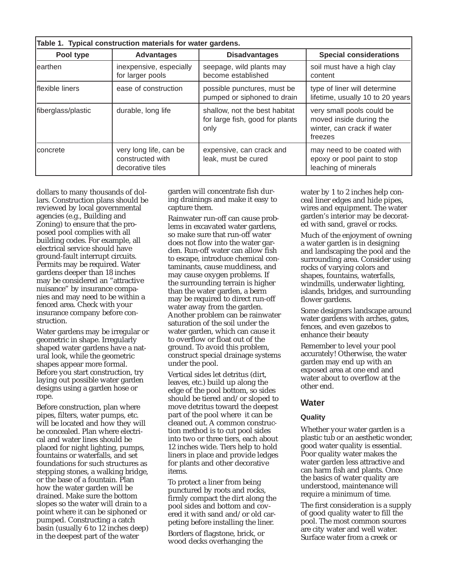| Table 1. Typical construction materials for water gardens. |                                                                |                                                                          |                                                                                               |  |  |
|------------------------------------------------------------|----------------------------------------------------------------|--------------------------------------------------------------------------|-----------------------------------------------------------------------------------------------|--|--|
| Pool type                                                  | <b>Advantages</b>                                              | <b>Disadvantages</b>                                                     | <b>Special considerations</b>                                                                 |  |  |
| learthen                                                   | inexpensive, especially<br>for larger pools                    | seepage, wild plants may<br>become established                           | soil must have a high clay<br>content                                                         |  |  |
| Iflexible liners                                           | ease of construction                                           | possible punctures, must be<br>pumped or siphoned to drain               | type of liner will determine<br>lifetime, usually 10 to 20 years                              |  |  |
| fiberglass/plastic                                         | durable, long life                                             | shallow, not the best habitat<br>for large fish, good for plants<br>only | very small pools could be<br>moved inside during the<br>winter, can crack if water<br>freezes |  |  |
| <b>concrete</b>                                            | very long life, can be<br>constructed with<br>decorative tiles | expensive, can crack and<br>leak, must be cured                          | may need to be coated with<br>epoxy or pool paint to stop<br>leaching of minerals             |  |  |

dollars to many thousands of dollars. Construction plans should be reviewed by local governmental agencies (e.g., Building and Zoning) to ensure that the proposed pool complies with all building codes. For example, all electrical service should have ground-fault interrupt circuits. Permits may be required. Water gardens deeper than 18 inches may be considered an "attractive nuisance" by insurance companies and may need to be within a fenced area. Check with your insurance company before construction.

Water gardens may be irregular or geometric in shape. Irregularly shaped water gardens have a natural look, while the geometric shapes appear more formal. Before you start construction, try laying out possible water garden designs using a garden hose or rope.

Before construction, plan where pipes, filters, water pumps, etc. will be located and how they will be concealed. Plan where electrical and water lines should be placed for night lighting, pumps, fountains or waterfalls, and set foundations for such structures as stepping stones, a walking bridge, or the base of a fountain. Plan how the water garden will be drained. Make sure the bottom slopes so the water will drain to a point where it can be siphoned or pumped. Constructing a catch basin (usually 6 to 12 inches deep) in the deepest part of the water

garden will concentrate fish during drainings and make it easy to capture them.

Rainwater run-off can cause problems in excavated water gardens, so make sure that run-off water does not flow into the water garden. Run-off water can allow fish to escape, introduce chemical contaminants, cause muddiness, and may cause oxygen problems. If the surrounding terrain is higher than the water garden, a berm may be required to direct run-off water away from the garden. Another problem can be rainwater saturation of the soil under the water garden, which can cause it to overflow or float out of the ground. To avoid this problem, construct special drainage systems under the pool.

Vertical sides let detritus (dirt, leaves, etc.) build up along the edge of the pool bottom, so sides should be tiered and/or sloped to move detritus toward the deepest part of the pool where it can be cleaned out. A common construction method is to cut pool sides into two or three tiers, each about 12 inches wide. Tiers help to hold liners in place and provide ledges for plants and other decorative items.

To protect a liner from being punctured by roots and rocks, firmly compact the dirt along the pool sides and bottom and covered it with sand and/or old carpeting before installing the liner.

Borders of flagstone, brick, or wood decks overhanging the

water by 1 to 2 inches help conceal liner edges and hide pipes, wires and equipment. The water garden's interior may be decorated with sand, gravel or rocks.

Much of the enjoyment of owning a water garden is in designing and landscaping the pool and the surrounding area. Consider using rocks of varying colors and shapes, fountains, waterfalls, windmills, underwater lighting, islands, bridges, and surrounding flower gardens.

Some designers landscape around water gardens with arches, gates, fences, and even gazebos to enhance their beauty

Remember to level your pool accurately! Otherwise, the water garden may end up with an exposed area at one end and water about to overflow at the other end.

## **Water**

#### **Quality**

Whether your water garden is a plastic tub or an aesthetic wonder, good water quality is essential. Poor quality water makes the water garden less attractive and can harm fish and plants. Once the basics of water quality are understood, maintenance will require a minimum of time.

The first consideration is a supply of good quality water to fill the pool. The most common sources are city water and well water. Surface water from a creek or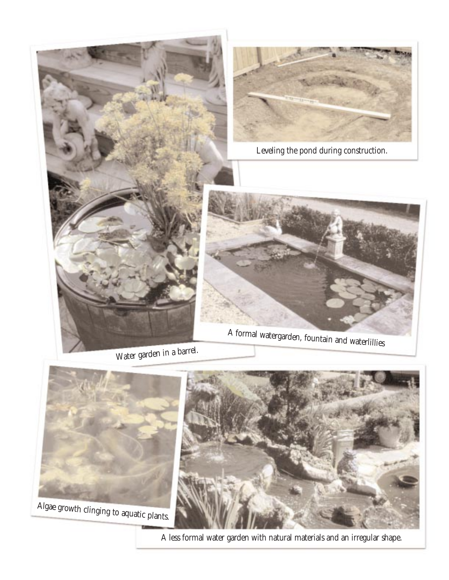

Water garden in a barrel.



A less formal water garden with natural materials and an irregular shape.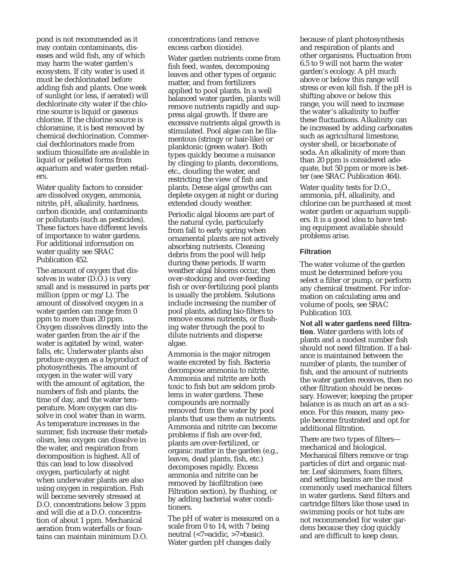pond is not recommended as it may contain contaminants, diseases and wild fish, any of which may harm the water garden's ecosystem. If city water is used it must be dechlorinated before adding fish and plants. One week of sunlight (or less, if aerated) will dechlorinate city water if the chlorine source is liquid or gaseous chlorine. If the chlorine source is chloramine, it is best removed by chemical dechlorination. Commercial dechlorinators made from sodium thiosulfate are available in liquid or pelleted forms from aquarium and water garden retailers.

Water quality factors to consider are dissolved oxygen, ammonia, nitrite, pH, alkalinity, hardness, carbon dioxide, and contaminants or pollutants (such as pesticides). These factors have different levels of importance to water gardens. For additional information on water quality see SRAC Publication 452.

The amount of oxygen that dissolves in water (D.O.) is very small and is measured in parts per million (ppm or mg/L). The amount of dissolved oxygen in a water garden can range from 0 ppm to more than 20 ppm. Oxygen dissolves directly into the water garden from the air if the water is agitated by wind, waterfalls, etc. Underwater plants also produce oxygen as a byproduct of photosynthesis. The amount of oxygen in the water will vary with the amount of agitation, the numbers of fish and plants, the time of day, and the water temperature. More oxygen can dissolve in cool water than in warm. As temperature increases in the summer, fish increase their metabolism, less oxygen can dissolve in the water, and respiration from decomposition is highest. All of this can lead to low dissolved oxygen, particularly at night when underwater plants are also using oxygen in respiration. Fish will become severely stressed at D.O. concentrations below 3 ppm and will die at a D.O. concentration of about 1 ppm. Mechanical aeration from waterfalls or fountains can maintain minimum D.O.

concentrations (and remove excess carbon dioxide).

Water garden nutrients come from fish feed, wastes, decomposing leaves and other types of organic matter, and from fertilizers applied to pool plants. In a well balanced water garden, plants will remove nutrients rapidly and suppress algal growth. If there are excessive nutrients algal growth is stimulated. Pool algae can be filamentous (stringy or hair-like) or planktonic (green water). Both types quickly become a nuisance by clinging to plants, decorations, etc., clouding the water, and restricting the view of fish and plants. Dense algal growths can deplete oxygen at night or during extended cloudy weather.

Periodic algal blooms are part of the natural cycle, particularly from fall to early spring when ornamental plants are not actively absorbing nutrients. Cleaning debris from the pool will help during these periods. If warm weather algal blooms occur, then over-stocking and over-feeding fish or over-fertilizing pool plants is usually the problem. Solutions include increasing the number of pool plants, adding bio-filters to remove excess nutrients, or flushing water through the pool to dilute nutrients and disperse algae.

Ammonia is the major nitrogen waste excreted by fish. Bacteria decompose ammonia to nitrite. Ammonia and nitrite are both toxic to fish but are seldom problems in water gardens. These compounds are normally removed from the water by pool plants that use them as nutrients. Ammonia and nitrite can become problems if fish are over-fed, plants are over-fertilized, or organic matter in the garden (e.g., leaves, dead plants, fish, etc.) decomposes rapidly. Excess ammonia and nitrite can be removed by biofiltration (see Filtration section), by flushing, or by adding bacterial water conditioners.

The pH of water is measured on a scale from 0 to 14, with 7 being neutral (<7=acidic, >7=basic). Water garden pH changes daily

because of plant photosynthesis and respiration of plants and other organisms. Fluctuation from 6.5 to 9 will not harm the water garden's ecology. A pH much above or below this range will stress or even kill fish. If the pH is shifting above or below this range, you will need to increase the water's alkalinity to buffer these fluctuations. Alkalinity can be increased by adding carbonates such as agricultural limestone, oyster shell, or bicarbonate of soda. An alkalinity of more than than 20 ppm is considered adequate, but 50 ppm or more is better (see SRAC Publication 464).

Water quality tests for D.O., ammonia, pH, alkalinity, and chlorine can be purchased at most water garden or aquarium suppliers. It is a good idea to have testing equipment available should problems arise.

#### **Filtration**

The water volume of the garden must be determined before you select a filter or pump, or perform any chemical treatment. For information on calculating area and volume of pools, see SRAC Publication 103.

**Not all water gardens need filtration**. Water gardens with lots of plants and a modest number fish should not need filtration. If a balance is maintained between the number of plants, the number of fish, and the amount of nutrients the water garden receives, then no other filtration should be necessary. However, keeping the proper balance is as much an art as a science. For this reason, many people become frustrated and opt for additional filtration.

There are two types of filters mechanical and biological. Mechanical filters remove or trap particles of dirt and organic matter. Leaf skimmers, foam filters, and settling basins are the most commonly used mechanical filters in water gardens. Sand filters and cartridge filters like those used in swimming pools or hot tubs are not recommended for water gardens because they clog quickly and are difficult to keep clean.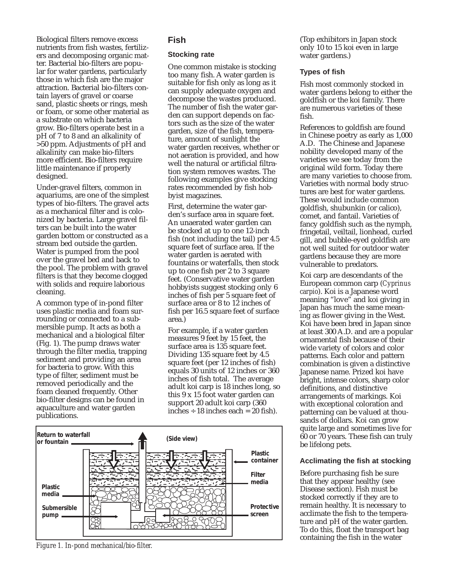Biological filters remove excess nutrients from fish wastes, fertilizers and decomposing organic matter. Bacterial bio-filters are popular for water gardens, particularly those in which fish are the major attraction. Bacterial bio-filters contain layers of gravel or coarse sand, plastic sheets or rings, mesh or foam, or some other material as a substrate on which bacteria grow. Bio-filters operate best in a pH of 7 to 8 and an alkalinity of >50 ppm. Adjustments of pH and alkalinity can make bio-filters more efficient. Bio-filters require little maintenance if properly designed.

Under-gravel filters, common in aquariums, are one of the simplest types of bio-filters. The gravel acts as a mechanical filter and is colonized by bacteria. Large gravel filters can be built into the water garden bottom or constructed as a stream bed outside the garden. Water is pumped from the pool over the gravel bed and back to the pool. The problem with gravel filters is that they become clogged with solids and require laborious cleaning.

A common type of in-pond filter uses plastic media and foam surrounding or connected to a submersible pump. It acts as both a mechanical and a biological filter (Fig. 1). The pump draws water through the filter media, trapping sediment and providing an area for bacteria to grow. With this type of filter, sediment must be removed periodically and the foam cleaned frequently. Other bio-filter designs can be found in aquaculture and water garden publications.

# **Fish**

#### **Stocking rate**

One common mistake is stocking too many fish. A water garden is suitable for fish only as long as it can supply adequate oxygen and decompose the wastes produced. The number of fish the water garden can support depends on factors such as the size of the water garden, size of the fish, temperature, amount of sunlight the water garden receives, whether or not aeration is provided, and how well the natural or artificial filtration system removes wastes. The following examples give stocking rates recommended by fish hobbyist magazines.

First, determine the water garden's surface area in square feet. An unaerated water garden can be stocked at up to one 12-inch fish (not including the tail) per 4.5 square feet of surface area. If the water garden is aerated with fountains or waterfalls, then stock up to one fish per 2 to 3 square feet. (Conservative water garden hobbyists suggest stocking only 6 inches of fish per 5 square feet of surface area or 8 to 12 inches of fish per 16.5 square feet of surface area.)

For example, if a water garden measures 9 feet by 15 feet, the surface area is 135 square feet. Dividing 135 square feet by 4.5 square feet (per 12 inches of fish) equals 30 units of 12 inches or 360 inches of fish total. The average adult koi carp is 18 inches long, so this 9 x 15 foot water garden can support 20 adult koi carp (360 inches  $\div$  18 inches each = 20 fish).



*Figure 1. In-pond mechanical/bio-filter.*

#### (Top exhibitors in Japan stock only 10 to 15 koi even in large water gardens.)

## **Types of fish**

Fish most commonly stocked in water gardens belong to either the goldfish or the koi family. There are numerous varieties of these fish.

References to goldfish are found in Chinese poetry as early as 1,000 A.D. The Chinese and Japanese nobility developed many of the varieties we see today from the original wild form. Today there are many varieties to choose from. Varieties with normal body structures are best for water gardens. These would include common goldfish, shubunkin (or calico), comet, and fantail. Varieties of fancy goldfish such as the nymph, fringetail, veiltail, lionhead, curled gill, and bubble-eyed goldfish are not well suited for outdoor water gardens because they are more vulnerable to predators.

Koi carp are descendants of the European common carp (*Cyprinus carpio*). Koi is a Japanese word meaning "love" and koi giving in Japan has much the same meaning as flower giving in the West. Koi have been bred in Japan since at least 300 A.D. and are a popular ornamental fish because of their wide variety of colors and color patterns. Each color and pattern combination is given a distinctive Japanese name. Prized koi have bright, intense colors, sharp color definitions, and distinctive arrangements of markings. Koi with exceptional coloration and patterning can be valued at thousands of dollars. Koi can grow quite large and sometimes live for 60 or 70 years. These fish can truly be lifelong pets.

#### **Acclimating the fish at stocking**

Before purchasing fish be sure that they appear healthy (see Disease section). Fish must be stocked correctly if they are to remain healthy. It is necessary to acclimate the fish to the temperature and pH of the water garden. To do this, float the transport bag containing the fish in the water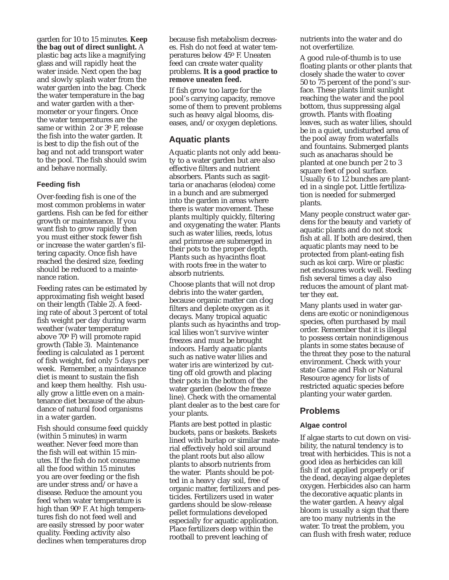garden for 10 to 15 minutes. **Keep the bag out of direct sunlight.** A plastic bag acts like a magnifying glass and will rapidly heat the water inside. Next open the bag and slowly splash water from the water garden into the bag. Check the water temperature in the bag and water garden with a thermometer or your fingers. Once the water temperatures are the same or within 2 or 3o F, release the fish into the water garden. It is best to dip the fish out of the bag and not add transport water to the pool. The fish should swim and behave normally.

#### **Feeding fish**

Over-feeding fish is one of the most common problems in water gardens. Fish can be fed for either growth or maintenance. If you want fish to grow rapidly then you must either stock fewer fish or increase the water garden's filtering capacity. Once fish have reached the desired size, feeding should be reduced to a maintenance ration.

Feeding rates can be estimated by approximating fish weight based on their length (Table 2). A feeding rate of about 3 percent of total fish weight per day during warm weather (water temperature above 70o F) will promote rapid growth (Table 3). Maintenance feeding is calculated as 1 percent of fish weight, fed only 5 days per week. Remember, a maintenance diet is meant to sustain the fish and keep them healthy. Fish usually grow a little even on a maintenance diet because of the abundance of natural food organisms in a water garden.

Fish should consume feed quickly (within 5 minutes) in warm weather. Never feed more than the fish will eat within 15 minutes. If the fish do not consume all the food within 15 minutes you are over feeding or the fish are under stress and/or have a disease. Reduce the amount you feed when water temperature is high than 90° F. At high temperatures fish do not feed well and are easily stressed by poor water quality. Feeding activity also declines when temperatures drop

because fish metabolism decreases. Fish do not feed at water temperatures below 45o F. Uneaten feed can create water quality problems. **It is a good practice to remove uneaten feed.**

If fish grow too large for the pool's carrying capacity, remove some of them to prevent problems such as heavy algal blooms, diseases, and/or oxygen depletions.

# **Aquatic plants**

Aquatic plants not only add beauty to a water garden but are also effective filters and nutrient absorbers. Plants such as sagittaria or anacharas (elodea) come in a bunch and are submerged into the garden in areas where there is water movement. These plants multiply quickly, filtering and oxygenating the water. Plants such as water lilies, reeds, lotus and primrose are submerged in their pots to the proper depth. Plants such as hyacinths float with roots free in the water to absorb nutrients.

Choose plants that will not drop debris into the water garden, because organic matter can clog filters and deplete oxygen as it decays. Many tropical aquatic plants such as hyacinths and tropical lilies won't survive winter freezes and must be brought indoors. Hardy aquatic plants such as native water lilies and water iris are winterized by cutting off old growth and placing their pots in the bottom of the water garden (below the freeze line). Check with the ornamental plant dealer as to the best care for your plants.

Plants are best potted in plastic buckets, pans or baskets. Baskets lined with burlap or similar material effectively hold soil around the plant roots but also allow plants to absorb nutrients from the water. Plants should be potted in a heavy clay soil, free of organic matter, fertilizers and pesticides. Fertilizers used in water gardens should be slow-release pellet formulations developed especially for aquatic application. Place fertilizers deep within the rootball to prevent leaching of

nutrients into the water and do not overfertilize.

A good rule-of-thumb is to use floating plants or other plants that closely shade the water to cover 50 to 75 percent of the pond's surface. These plants limit sunlight reaching the water and the pool bottom, thus suppressing algal growth. Plants with floating leaves, such as water lilies, should be in a quiet, undisturbed area of the pool away from waterfalls and fountains. Submerged plants such as anacharas should be planted at one bunch per 2 to 3 square feet of pool surface. Usually 6 to 12 bunches are planted in a single pot. Little fertilization is needed for submerged plants.

Many people construct water gardens for the beauty and variety of aquatic plants and do not stock fish at all. If both are desired, then aquatic plants may need to be protected from plant-eating fish such as koi carp. Wire or plastic net enclosures work well. Feeding fish several times a day also reduces the amount of plant matter they eat.

Many plants used in water gardens are exotic or nonindigenous species, often purchased by mail order. Remember that it is illegal to possess certain nonindigenous plants in some states because of the threat they pose to the natural environment. Check with your state Game and Fish or Natural Resource agency for lists of restricted aquatic species before planting your water garden.

# **Problems**

#### **Algae control**

If algae starts to cut down on visibility, the natural tendency is to treat with herbicides. This is not a good idea as herbicides can kill fish if not applied properly or if the dead, decaying algae depletes oxygen. Herbicides also can harm the decorative aquatic plants in the water garden. A heavy algal bloom is usually a sign that there are too many nutrients in the water. To treat the problem, you can flush with fresh water, reduce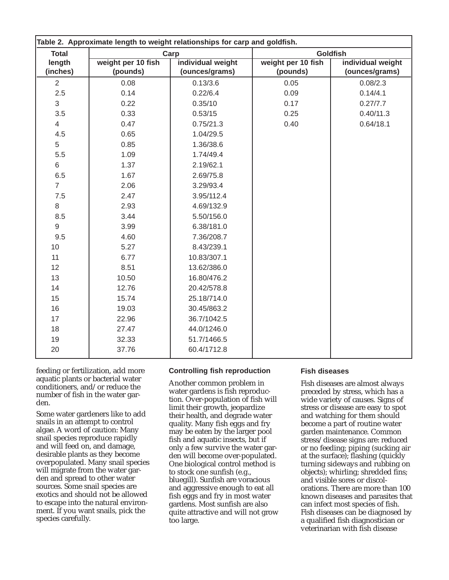| Table 2. Approximate length to weight relationships for carp and goldfish. |                                |                                     |                                |                                     |  |  |
|----------------------------------------------------------------------------|--------------------------------|-------------------------------------|--------------------------------|-------------------------------------|--|--|
| <b>Total</b>                                                               | Carp                           |                                     | <b>Goldfish</b>                |                                     |  |  |
| length<br>(inches)                                                         | weight per 10 fish<br>(pounds) | individual weight<br>(ounces/grams) | weight per 10 fish<br>(pounds) | individual weight<br>(ounces/grams) |  |  |
| $\overline{2}$                                                             | 0.08                           | 0.13/3.6                            | 0.05                           | 0.08/2.3                            |  |  |
| 2.5                                                                        | 0.14                           | 0.22/6.4                            | 0.09                           | 0.14/4.1                            |  |  |
| 3                                                                          | 0.22                           | 0.35/10                             | 0.17                           | 0.27/7.7                            |  |  |
| 3.5                                                                        | 0.33                           | 0.53/15                             | 0.25                           | 0.40/11.3                           |  |  |
| $\overline{4}$                                                             | 0.47                           | 0.75/21.3                           | 0.40                           | 0.64/18.1                           |  |  |
| 4.5                                                                        | 0.65                           | 1.04/29.5                           |                                |                                     |  |  |
| 5                                                                          | 0.85                           | 1.36/38.6                           |                                |                                     |  |  |
| 5.5                                                                        | 1.09                           | 1.74/49.4                           |                                |                                     |  |  |
| 6                                                                          | 1.37                           | 2.19/62.1                           |                                |                                     |  |  |
| 6.5                                                                        | 1.67                           | 2.69/75.8                           |                                |                                     |  |  |
| $\overline{7}$                                                             | 2.06                           | 3.29/93.4                           |                                |                                     |  |  |
| 7.5                                                                        | 2.47                           | 3.95/112.4                          |                                |                                     |  |  |
| 8                                                                          | 2.93                           | 4.69/132.9                          |                                |                                     |  |  |
| 8.5                                                                        | 3.44                           | 5.50/156.0                          |                                |                                     |  |  |
| 9                                                                          | 3.99                           | 6.38/181.0                          |                                |                                     |  |  |
| 9.5                                                                        | 4.60                           | 7.36/208.7                          |                                |                                     |  |  |
| 10                                                                         | 5.27                           | 8.43/239.1                          |                                |                                     |  |  |
| 11                                                                         | 6.77                           | 10.83/307.1                         |                                |                                     |  |  |
| 12                                                                         | 8.51                           | 13.62/386.0                         |                                |                                     |  |  |
| 13                                                                         | 10.50                          | 16.80/476.2                         |                                |                                     |  |  |
| 14                                                                         | 12.76                          | 20.42/578.8                         |                                |                                     |  |  |
| 15                                                                         | 15.74                          | 25.18/714.0                         |                                |                                     |  |  |
| 16                                                                         | 19.03                          | 30.45/863.2                         |                                |                                     |  |  |
| 17                                                                         | 22.96                          | 36.7/1042.5                         |                                |                                     |  |  |
| 18                                                                         | 27.47                          | 44.0/1246.0                         |                                |                                     |  |  |
| 19                                                                         | 32.33                          | 51.7/1466.5                         |                                |                                     |  |  |
| 20                                                                         | 37.76                          | 60.4/1712.8                         |                                |                                     |  |  |

feeding or fertilization, add more aquatic plants or bacterial water conditioners, and/or reduce the number of fish in the water garden.

Some water gardeners like to add snails in an attempt to control algae. A word of caution: Many snail species reproduce rapidly and will feed on, and damage, desirable plants as they become overpopulated. Many snail species will migrate from the water garden and spread to other water sources. Some snail species are exotics and should not be allowed to escape into the natural environment. If you want snails, pick the species carefully.

#### **Controlling fish reproduction**

Another common problem in water gardens is fish reproduction. Over-population of fish will limit their growth, jeopardize their health, and degrade water quality. Many fish eggs and fry may be eaten by the larger pool fish and aquatic insects, but if only a few survive the water garden will become over-populated. One biological control method is to stock one sunfish (e.g., bluegill). Sunfish are voracious and aggressive enough to eat all fish eggs and fry in most water gardens. Most sunfish are also quite attractive and will not grow too large.

#### **Fish diseases**

Fish diseases are almost always preceded by stress, which has a wide variety of causes. Signs of stress or disease are easy to spot and watching for them should become a part of routine water garden maintenance. Common stress/disease signs are: reduced or no feeding; piping (sucking air at the surface); flashing (quickly turning sideways and rubbing on objects); whirling; shredded fins; and visible sores or discolorations. There are more than 100 known diseases and parasites that can infect most species of fish. Fish diseases can be diagnosed by a qualified fish diagnostician or veterinarian with fish disease